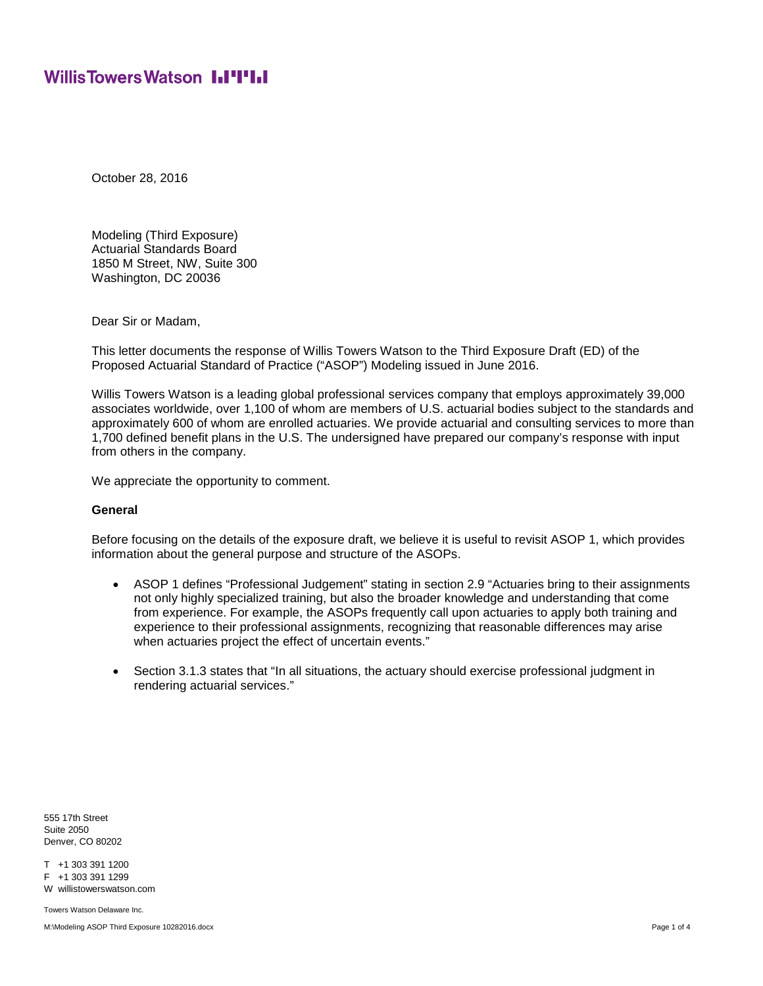## **WillisTowersWatson I.I'I'I.I**

October 28, 2016

Modeling (Third Exposure) Actuarial Standards Board 1850 M Street, NW, Suite 300 Washington, DC 20036

Dear Sir or Madam,

This letter documents the response of Willis Towers Watson to the Third Exposure Draft (ED) of the Proposed Actuarial Standard of Practice ("ASOP") Modeling issued in June 2016.

Willis Towers Watson is a leading global professional services company that employs approximately 39,000 associates worldwide, over 1,100 of whom are members of U.S. actuarial bodies subject to the standards and approximately 600 of whom are enrolled actuaries. We provide actuarial and consulting services to more than 1,700 defined benefit plans in the U.S. The undersigned have prepared our company's response with input from others in the company.

We appreciate the opportunity to comment.

#### **General**

Before focusing on the details of the exposure draft, we believe it is useful to revisit ASOP 1, which provides information about the general purpose and structure of the ASOPs.

- · ASOP 1 defines "Professional Judgement" stating in section 2.9 "Actuaries bring to their assignments not only highly specialized training, but also the broader knowledge and understanding that come from experience. For example, the ASOPs frequently call upon actuaries to apply both training and experience to their professional assignments, recognizing that reasonable differences may arise when actuaries project the effect of uncertain events."
- Section 3.1.3 states that "In all situations, the actuary should exercise professional judgment in rendering actuarial services."

555 17th Street Suite 2050 Denver, CO 80202

T +1 303 391 1200 F +1 303 391 1299

W willistowerswatson.com

Towers Watson Delaware Inc.

M:\Modeling ASOP Third Exposure 10282016.docx exposure the control of 4 and 2012 and 2012 and 2012 and 2012 and 2013 and 2012 and 2013 and 2013 and 2013 and 2013 and 2013 and 2013 and 2013 and 2013 and 2013 and 2013 and 20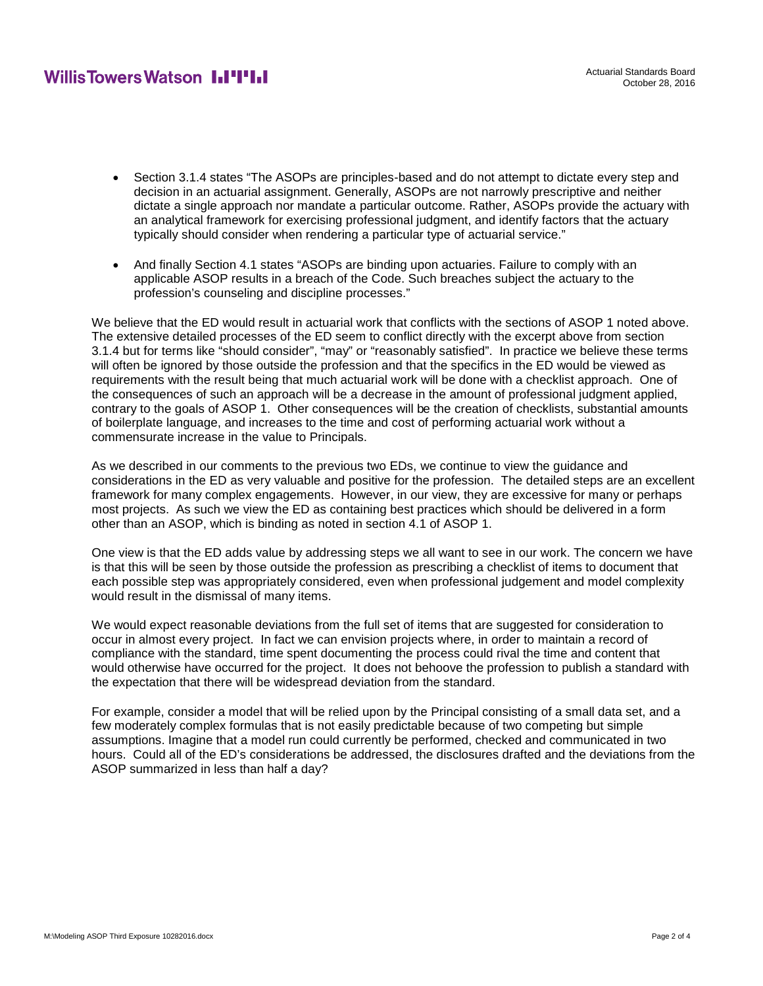## **WillisTowersWatson I.I'I'I.I**

- · Section 3.1.4 states "The ASOPs are principles-based and do not attempt to dictate every step and decision in an actuarial assignment. Generally, ASOPs are not narrowly prescriptive and neither dictate a single approach nor mandate a particular outcome. Rather, ASOPs provide the actuary with an analytical framework for exercising professional judgment, and identify factors that the actuary typically should consider when rendering a particular type of actuarial service."
- · And finally Section 4.1 states "ASOPs are binding upon actuaries. Failure to comply with an applicable ASOP results in a breach of the Code. Such breaches subject the actuary to the profession's counseling and discipline processes."

We believe that the ED would result in actuarial work that conflicts with the sections of ASOP 1 noted above. The extensive detailed processes of the ED seem to conflict directly with the excerpt above from section 3.1.4 but for terms like "should consider", "may" or "reasonably satisfied". In practice we believe these terms will often be ignored by those outside the profession and that the specifics in the ED would be viewed as requirements with the result being that much actuarial work will be done with a checklist approach. One of the consequences of such an approach will be a decrease in the amount of professional judgment applied, contrary to the goals of ASOP 1. Other consequences will be the creation of checklists, substantial amounts of boilerplate language, and increases to the time and cost of performing actuarial work without a commensurate increase in the value to Principals.

As we described in our comments to the previous two EDs, we continue to view the guidance and considerations in the ED as very valuable and positive for the profession. The detailed steps are an excellent framework for many complex engagements. However, in our view, they are excessive for many or perhaps most projects. As such we view the ED as containing best practices which should be delivered in a form other than an ASOP, which is binding as noted in section 4.1 of ASOP 1.

One view is that the ED adds value by addressing steps we all want to see in our work. The concern we have is that this will be seen by those outside the profession as prescribing a checklist of items to document that each possible step was appropriately considered, even when professional judgement and model complexity would result in the dismissal of many items.

We would expect reasonable deviations from the full set of items that are suggested for consideration to occur in almost every project. In fact we can envision projects where, in order to maintain a record of compliance with the standard, time spent documenting the process could rival the time and content that would otherwise have occurred for the project. It does not behoove the profession to publish a standard with the expectation that there will be widespread deviation from the standard.

For example, consider a model that will be relied upon by the Principal consisting of a small data set, and a few moderately complex formulas that is not easily predictable because of two competing but simple assumptions. Imagine that a model run could currently be performed, checked and communicated in two hours. Could all of the ED's considerations be addressed, the disclosures drafted and the deviations from the ASOP summarized in less than half a day?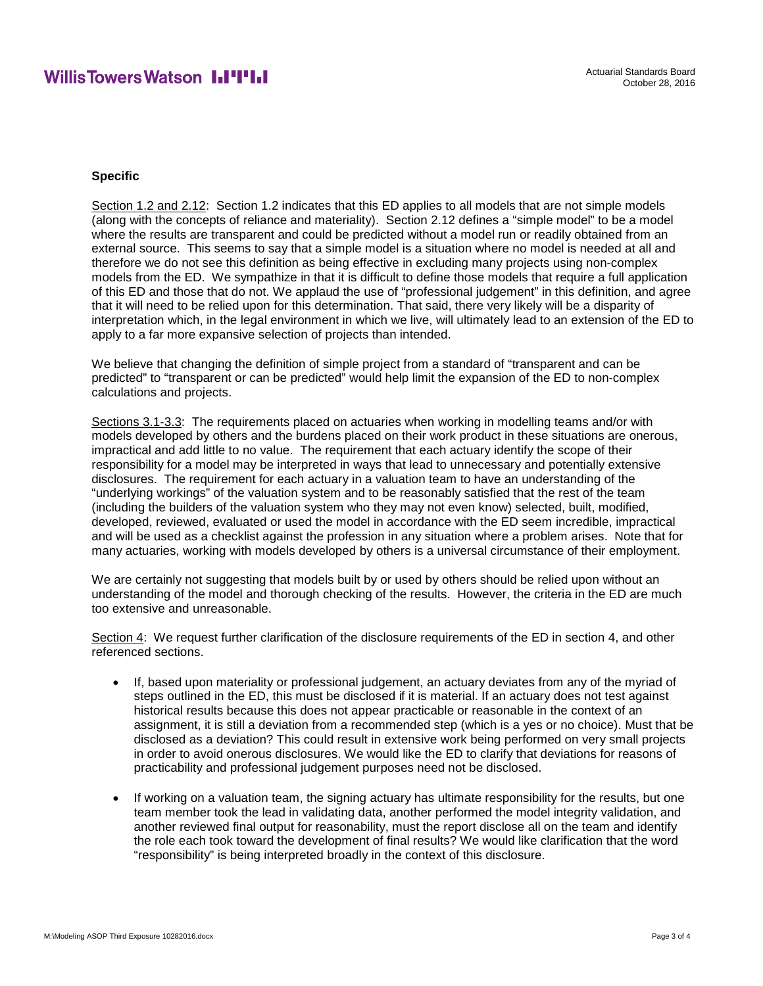## **WillisTowersWatson I.I'I'I.I**

#### **Specific**

Section 1.2 and 2.12: Section 1.2 indicates that this ED applies to all models that are not simple models (along with the concepts of reliance and materiality). Section 2.12 defines a "simple model" to be a model where the results are transparent and could be predicted without a model run or readily obtained from an external source. This seems to say that a simple model is a situation where no model is needed at all and therefore we do not see this definition as being effective in excluding many projects using non-complex models from the ED. We sympathize in that it is difficult to define those models that require a full application of this ED and those that do not. We applaud the use of "professional judgement" in this definition, and agree that it will need to be relied upon for this determination. That said, there very likely will be a disparity of interpretation which, in the legal environment in which we live, will ultimately lead to an extension of the ED to apply to a far more expansive selection of projects than intended.

We believe that changing the definition of simple project from a standard of "transparent and can be predicted" to "transparent or can be predicted" would help limit the expansion of the ED to non-complex calculations and projects.

Sections 3.1-3.3: The requirements placed on actuaries when working in modelling teams and/or with models developed by others and the burdens placed on their work product in these situations are onerous, impractical and add little to no value. The requirement that each actuary identify the scope of their responsibility for a model may be interpreted in ways that lead to unnecessary and potentially extensive disclosures. The requirement for each actuary in a valuation team to have an understanding of the "underlying workings" of the valuation system and to be reasonably satisfied that the rest of the team (including the builders of the valuation system who they may not even know) selected, built, modified, developed, reviewed, evaluated or used the model in accordance with the ED seem incredible, impractical and will be used as a checklist against the profession in any situation where a problem arises. Note that for many actuaries, working with models developed by others is a universal circumstance of their employment.

We are certainly not suggesting that models built by or used by others should be relied upon without an understanding of the model and thorough checking of the results. However, the criteria in the ED are much too extensive and unreasonable.

Section 4: We request further clarification of the disclosure requirements of the ED in section 4, and other referenced sections.

- · If, based upon materiality or professional judgement, an actuary deviates from any of the myriad of steps outlined in the ED, this must be disclosed if it is material. If an actuary does not test against historical results because this does not appear practicable or reasonable in the context of an assignment, it is still a deviation from a recommended step (which is a yes or no choice). Must that be disclosed as a deviation? This could result in extensive work being performed on very small projects in order to avoid onerous disclosures. We would like the ED to clarify that deviations for reasons of practicability and professional judgement purposes need not be disclosed.
- If working on a valuation team, the signing actuary has ultimate responsibility for the results, but one team member took the lead in validating data, another performed the model integrity validation, and another reviewed final output for reasonability, must the report disclose all on the team and identify the role each took toward the development of final results? We would like clarification that the word "responsibility" is being interpreted broadly in the context of this disclosure.